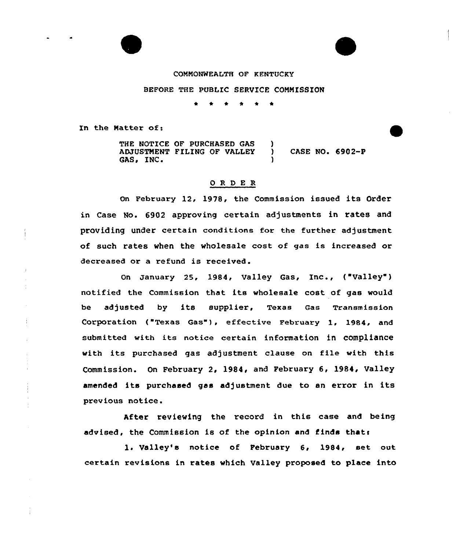

#### COMNONWEALTH OF KENTUCKY

E

### BEFORE THE PUBLIC SERVICE CONNISSION

\* \* \* \* \*

In the Hatter of:

Ť

THE NOTICE OF PURCHASED GAS ADJUSTNENT PILING OF VALLEY GAS, INC. )<br>) CASE NO. 6902-P )

## ORDER

On February 12, 1978, the Commission issued its Order in Case No. 6902 approving certain adjustments in rates and providing under certain conditions for the further adjustment of such rates when the wholesale cost of gas is increased or decreased or a refund is received.

On January 25, 1984, Valley Gas, Inc., ("Valley") notified the Commission that its wholesale cost of gas would be adjusted by its supplier, Texas Gas Transmission Corporation ("Texas Gas"), effective February 1, 1984, and submitted with its notice certain information in compliance with its purchased gas adjustment clause on file with this Commission. On February 2, 1984, and February 6, 1984, Valley amended its purchased gas adjustment due to an error in its previous notice.

After reviewing the record in this case and being advised, the Commission is of the opinion and finds thats

1. Valley's notice of February 6, 1984, set out certain revisions in rates which Valley proposed to place into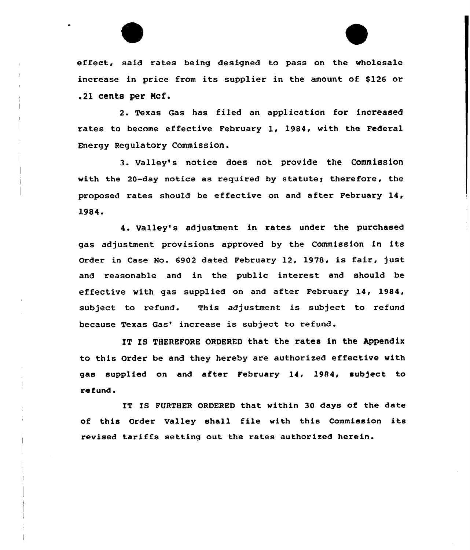effeet, said rates being designed to pass on the wholesale increase in price from its supplier in the amount of \$126 or .21 cents per Mcf.

2. Texas Gas has filed an application for increased rates to become effective February 1, 1984, with the Federal Energy Regulatory Commission.

3. valley's notice does not provide the commission with the 20-day notice as required by statute; therefore, the proposed rates should be effective on and after February 14, 1984.

4. Valley's adjustment in rates under the purchased gas adjustment provisions approved by the Commission in its Order in Case No. 6902 dated February 12, 1978, is fair, just and reasonable and in the public interest and should be effective with gas supplied on and after February 14, 1984, subject to refund. This adjustment is subject to refund because Texas Gas' increase is subject to refund.

IT IS THEREFORE ORDERED that the rates in the Appendix to this Order be and they hereby are authorized effective with gas supplied on and after February 14, 1984, subject to refund.

IT IS FURTHER ORDERED that within 30 days of the date of this Order Valley shal1 file with this Commission its revised tariffs setting out the rates authorized herein.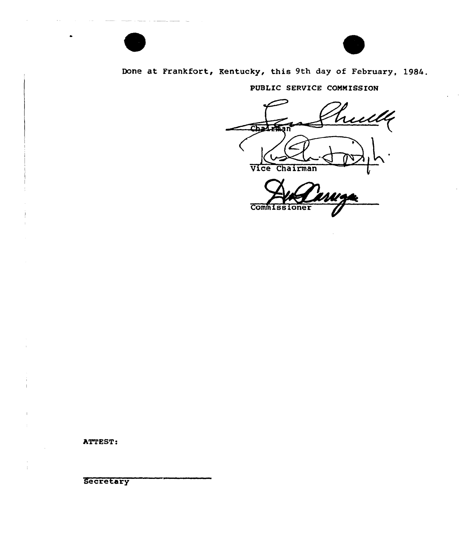# Done at Frankfort, Kentucky, this 9th day of February, 1984.

PUBLIC SERVICE COMMISSION

hull Cha חו Vice Chairman

**Commissioner** 

ATTEST:

**Secretary**